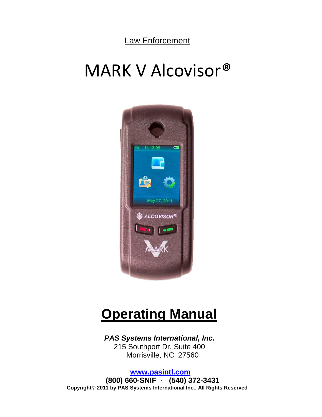Law Enforcement

# MARK V Alcovisor*®*



# **Operating Manual**

 *PAS Systems International, Inc.* 215 Southport Dr. Suite 400 Morrisville, NC 27560

 **[www.pasintl.com](http://www.pasintl.com/) (800) 660-SNIF** · **(540) 372-3431 Copyright**© **2011 by PAS Systems International Inc., All Rights Reserved**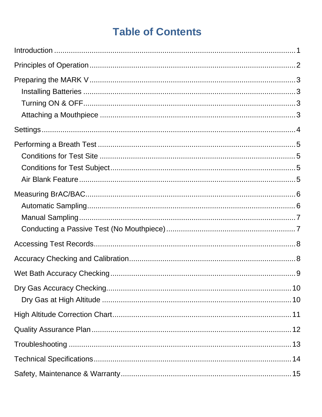# **Table of Contents**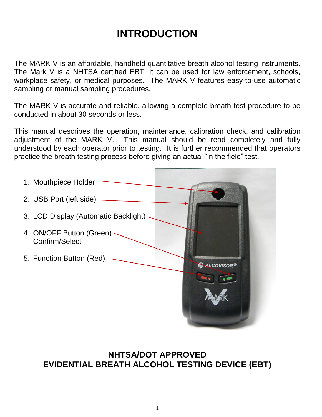# **INTRODUCTION**

The MARK V is an affordable, handheld quantitative breath alcohol testing instruments. The Mark V is a NHTSA certified EBT. It can be used for law enforcement, schools, workplace safety, or medical purposes. The MARK V features easy-to-use automatic sampling or manual sampling procedures.

The MARK V is accurate and reliable, allowing a complete breath test procedure to be conducted in about 30 seconds or less.

This manual describes the operation, maintenance, calibration check, and calibration adjustment of the MARK V. This manual should be read completely and fully understood by each operator prior to testing. It is further recommended that operators practice the breath testing process before giving an actual "in the field" test.



### **NHTSA/DOT APPROVED EVIDENTIAL BREATH ALCOHOL TESTING DEVICE (EBT)**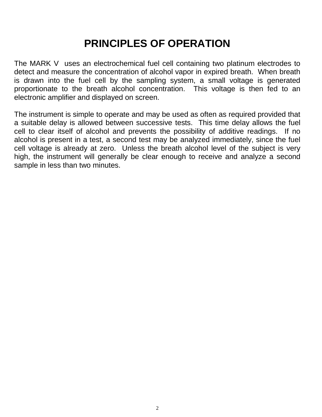# **PRINCIPLES OF OPERATION**

The MARK V uses an electrochemical fuel cell containing two platinum electrodes to detect and measure the concentration of alcohol vapor in expired breath. When breath is drawn into the fuel cell by the sampling system, a small voltage is generated proportionate to the breath alcohol concentration. This voltage is then fed to an electronic amplifier and displayed on screen.

The instrument is simple to operate and may be used as often as required provided that a suitable delay is allowed between successive tests. This time delay allows the fuel cell to clear itself of alcohol and prevents the possibility of additive readings. If no alcohol is present in a test, a second test may be analyzed immediately, since the fuel cell voltage is already at zero. Unless the breath alcohol level of the subject is very high, the instrument will generally be clear enough to receive and analyze a second sample in less than two minutes.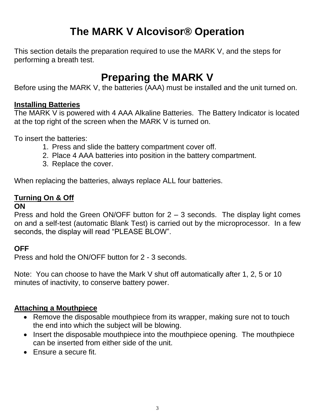# **The MARK V Alcovisor® Operation**

This section details the preparation required to use the MARK V, and the steps for performing a breath test.

# **Preparing the MARK V**

Before using the MARK V, the batteries (AAA) must be installed and the unit turned on.

#### **Installing Batteries**

The MARK V is powered with 4 AAA Alkaline Batteries. The Battery Indicator is located at the top right of the screen when the MARK V is turned on.

To insert the batteries:

- 1. Press and slide the battery compartment cover off.
- 2. Place 4 AAA batteries into position in the battery compartment.
- 3. Replace the cover.

When replacing the batteries, always replace ALL four batteries.

### **Turning On & Off**

#### **ON**

Press and hold the Green ON/OFF button for 2 – 3 seconds. The display light comes on and a self-test (automatic Blank Test) is carried out by the microprocessor. In a few seconds, the display will read "PLEASE BLOW".

### **OFF**

Press and hold the ON/OFF button for 2 - 3 seconds.

Note: You can choose to have the Mark V shut off automatically after 1, 2, 5 or 10 minutes of inactivity, to conserve battery power.

#### **Attaching a Mouthpiece**

- Remove the disposable mouthpiece from its wrapper, making sure not to touch the end into which the subject will be blowing.
- Insert the disposable mouthpiece into the mouthpiece opening. The mouthpiece can be inserted from either side of the unit.
- Ensure a secure fit.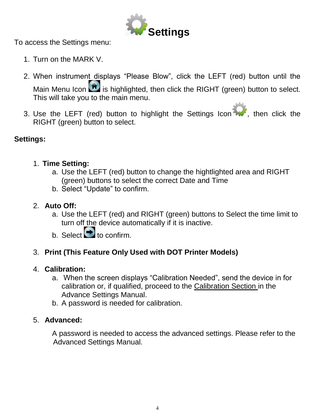

To access the Settings menu:

- 1. Turn on the MARK V.
- 2. When instrument displays "Please Blow", click the LEFT (red) button until the Main Menu Icon  $\blacksquare$  is highlighted, then click the RIGHT (green) button to select. This will take you to the main menu.
- 3. Use the LEFT (red) button to highlight the Settings Icon , then click the RIGHT (green) button to select.

### **Settings:**

- 1. **Time Setting:**
	- a. Use the LEFT (red) button to change the hightlighted area and RIGHT (green) buttons to select the correct Date and Time
	- b. Select "Update" to confirm.

### 2. **Auto Off:**

- a. Use the LEFT (red) and RIGHT (green) buttons to Select the time limit to turn off the device automatically if it is inactive.
- b. Select  $\bullet$  to confirm.

### 3. **Print (This Feature Only Used with DOT Printer Models)**

### 4. **Calibration:**

- a. When the screen displays "Calibration Needed", send the device in for calibration or, if qualified, proceed to the Calibration Section in the Advance Settings Manual.
- b. A password is needed for calibration.

### 5. **Advanced:**

A password is needed to access the advanced settings. Please refer to the Advanced Settings Manual.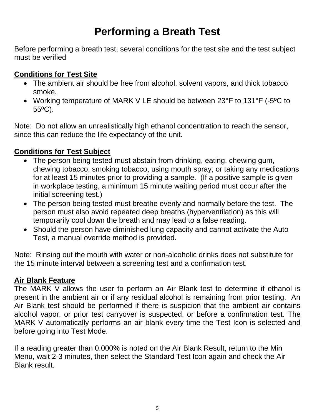# **Performing a Breath Test**

Before performing a breath test, several conditions for the test site and the test subject must be verified

#### **Conditions for Test Site**

- The ambient air should be free from alcohol, solvent vapors, and thick tobacco smoke.
- Working temperature of MARK V LE should be between 23°F to 131°F (-5ºC to 55ºC).

Note: Do not allow an unrealistically high ethanol concentration to reach the sensor, since this can reduce the life expectancy of the unit.

### **Conditions for Test Subject**

- The person being tested must abstain from drinking, eating, chewing gum, chewing tobacco, smoking tobacco, using mouth spray, or taking any medications for at least 15 minutes prior to providing a sample. (If a positive sample is given in workplace testing, a minimum 15 minute waiting period must occur after the initial screening test.)
- The person being tested must breathe evenly and normally before the test. The person must also avoid repeated deep breaths (hyperventilation) as this will temporarily cool down the breath and may lead to a false reading.
- Should the person have diminished lung capacity and cannot activate the Auto Test, a manual override method is provided.

Note: Rinsing out the mouth with water or non-alcoholic drinks does not substitute for the 15 minute interval between a screening test and a confirmation test.

#### **Air Blank Feature**

The MARK V allows the user to perform an Air Blank test to determine if ethanol is present in the ambient air or if any residual alcohol is remaining from prior testing. An Air Blank test should be performed if there is suspicion that the ambient air contains alcohol vapor, or prior test carryover is suspected, or before a confirmation test. The MARK V automatically performs an air blank every time the Test Icon is selected and before going into Test Mode.

If a reading greater than 0.000% is noted on the Air Blank Result, return to the Min Menu, wait 2-3 minutes, then select the Standard Test Icon again and check the Air Blank result.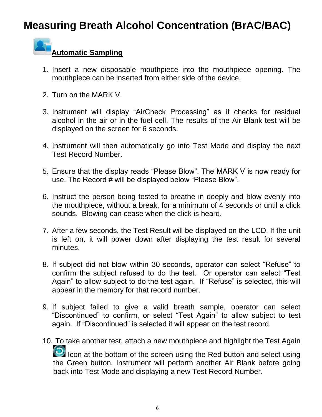# **Measuring Breath Alcohol Concentration (BrAC/BAC)**

### **Automatic Sampling**

- 1. Insert a new disposable mouthpiece into the mouthpiece opening. The mouthpiece can be inserted from either side of the device.
- 2. Turn on the MARK V.
- 3. Instrument will display "AirCheck Processing" as it checks for residual alcohol in the air or in the fuel cell. The results of the Air Blank test will be displayed on the screen for 6 seconds.
- 4. Instrument will then automatically go into Test Mode and display the next Test Record Number.
- 5. Ensure that the display reads "Please Blow". The MARK V is now ready for use. The Record # will be displayed below "Please Blow".
- 6. Instruct the person being tested to breathe in deeply and blow evenly into the mouthpiece, without a break, for a minimum of 4 seconds or until a click sounds. Blowing can cease when the click is heard.
- 7. After a few seconds, the Test Result will be displayed on the LCD. If the unit is left on, it will power down after displaying the test result for several minutes.
- 8. If subject did not blow within 30 seconds, operator can select "Refuse" to confirm the subject refused to do the test. Or operator can select "Test Again" to allow subject to do the test again. If "Refuse" is selected, this will appear in the memory for that record number.
- 9. If subject failed to give a valid breath sample, operator can select "Discontinued" to confirm, or select "Test Again" to allow subject to test again. If "Discontinued" is selected it will appear on the test record.
- 10. To take another test, attach a new mouthpiece and highlight the Test Again Icon at the bottom of the screen using the Red button and select using the Green button. Instrument will perform another Air Blank before going back into Test Mode and displaying a new Test Record Number.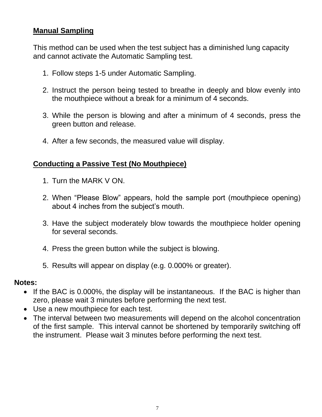#### **Manual Sampling**

This method can be used when the test subject has a diminished lung capacity and cannot activate the Automatic Sampling test.

- 1. Follow steps 1-5 under Automatic Sampling.
- 2. Instruct the person being tested to breathe in deeply and blow evenly into the mouthpiece without a break for a minimum of 4 seconds.
- 3. While the person is blowing and after a minimum of 4 seconds, press the green button and release.
- 4. After a few seconds, the measured value will display.

#### **Conducting a Passive Test (No Mouthpiece)**

- 1. Turn the MARK V ON.
- 2. When "Please Blow" appears, hold the sample port (mouthpiece opening) about 4 inches from the subject's mouth.
- 3. Have the subject moderately blow towards the mouthpiece holder opening for several seconds.
- 4. Press the green button while the subject is blowing.
- 5. Results will appear on display (e.g. 0.000% or greater).

#### **Notes:**

- If the BAC is 0.000%, the display will be instantaneous. If the BAC is higher than zero, please wait 3 minutes before performing the next test.
- Use a new mouthpiece for each test.
- The interval between two measurements will depend on the alcohol concentration of the first sample. This interval cannot be shortened by temporarily switching off the instrument. Please wait 3 minutes before performing the next test.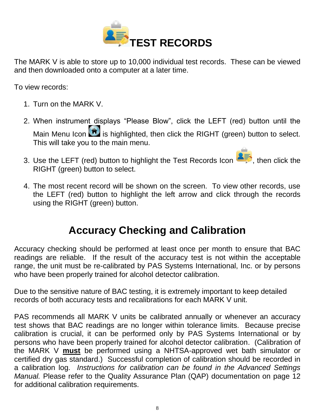

The MARK V is able to store up to 10,000 individual test records. These can be viewed and then downloaded onto a computer at a later time.

To view records:

- 1. Turn on the MARK V.
- 2. When instrument displays "Please Blow", click the LEFT (red) button until the Main Menu Icon  $\blacksquare$  is highlighted, then click the RIGHT (green) button to select. This will take you to the main menu.
- 3. Use the LEFT (red) button to highlight the Test Records Icon **AF**, then click the RIGHT (green) button to select.
- 4. The most recent record will be shown on the screen. To view other records, use the LEFT (red) button to highlight the left arrow and click through the records using the RIGHT (green) button.

# **Accuracy Checking and Calibration**

Accuracy checking should be performed at least once per month to ensure that BAC readings are reliable. If the result of the accuracy test is not within the acceptable range, the unit must be re-calibrated by PAS Systems International, Inc. or by persons who have been properly trained for alcohol detector calibration.

Due to the sensitive nature of BAC testing, it is extremely important to keep detailed records of both accuracy tests and recalibrations for each MARK V unit.

PAS recommends all MARK V units be calibrated annually or whenever an accuracy test shows that BAC readings are no longer within tolerance limits. Because precise calibration is crucial, it can be performed only by PAS Systems International or by persons who have been properly trained for alcohol detector calibration. (Calibration of the MARK V **must** be performed using a NHTSA-approved wet bath simulator or certified dry gas standard.) Successful completion of calibration should be recorded in a calibration log. *Instructions for calibration can be found in the Advanced Settings Manual.* Please refer to the Quality Assurance Plan (QAP) documentation on page 12 for additional calibration requirements.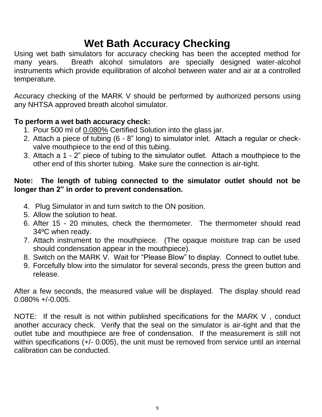# **Wet Bath Accuracy Checking**

Using wet bath simulators for accuracy checking has been the accepted method for many years. Breath alcohol simulators are specially designed water-alcohol instruments which provide equilibration of alcohol between water and air at a controlled temperature.

Accuracy checking of the MARK V should be performed by authorized persons using any NHTSA approved breath alcohol simulator.

### **To perform a wet bath accuracy check:**

- 1. Pour 500 ml of 0.080% Certified Solution into the glass jar.
- 2. Attach a piece of tubing (6 8" long) to simulator inlet. Attach a regular or checkvalve mouthpiece to the end of this tubing.
- 3. Attach a 1 2" piece of tubing to the simulator outlet. Attach a mouthpiece to the other end of this shorter tubing. Make sure the connection is air-tight.

#### **Note: The length of tubing connected to the simulator outlet should not be longer than 2" in order to prevent condensation.**

- 4. Plug Simulator in and turn switch to the ON position.
- 5. Allow the solution to heat.
- 6. After 15 20 minutes, check the thermometer. The thermometer should read 34ºC when ready.
- 7. Attach instrument to the mouthpiece. (The opaque moisture trap can be used should condensation appear in the mouthpiece).
- 8. Switch on the MARK V. Wait for "Please Blow" to display. Connect to outlet tube.
- 9. Forcefully blow into the simulator for several seconds, press the green button and release.

After a few seconds, the measured value will be displayed. The display should read 0.080% +/-0.005.

NOTE: If the result is not within published specifications for the MARK V , conduct another accuracy check. Verify that the seal on the simulator is air-tight and that the outlet tube and mouthpiece are free of condensation. If the measurement is still not within specifications (+/- 0.005), the unit must be removed from service until an internal calibration can be conducted.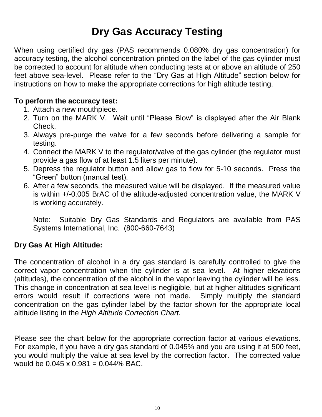# **Dry Gas Accuracy Testing**

When using certified dry gas (PAS recommends 0.080% dry gas concentration) for accuracy testing, the alcohol concentration printed on the label of the gas cylinder must be corrected to account for altitude when conducting tests at or above an altitude of 250 feet above sea-level. Please refer to the "Dry Gas at High Altitude" section below for instructions on how to make the appropriate corrections for high altitude testing.

#### **To perform the accuracy test:**

- 1. Attach a new mouthpiece.
- 2. Turn on the MARK V. Wait until "Please Blow" is displayed after the Air Blank Check.
- 3. Always pre-purge the valve for a few seconds before delivering a sample for testing.
- 4. Connect the MARK V to the regulator/valve of the gas cylinder (the regulator must provide a gas flow of at least 1.5 liters per minute).
- 5. Depress the regulator button and allow gas to flow for 5-10 seconds. Press the "Green" button (manual test).
- 6. After a few seconds, the measured value will be displayed. If the measured value is within +/-0.005 BrAC of the altitude-adjusted concentration value, the MARK V is working accurately.

Note: Suitable Dry Gas Standards and Regulators are available from PAS Systems International, Inc. (800-660-7643)

### **Dry Gas At High Altitude:**

The concentration of alcohol in a dry gas standard is carefully controlled to give the correct vapor concentration when the cylinder is at sea level. At higher elevations (altitudes), the concentration of the alcohol in the vapor leaving the cylinder will be less. This change in concentration at sea level is negligible, but at higher altitudes significant errors would result if corrections were not made. Simply multiply the standard concentration on the gas cylinder label by the factor shown for the appropriate local altitude listing in the *High Altitude Correction Chart*.

Please see the chart below for the appropriate correction factor at various elevations. For example, if you have a dry gas standard of 0.045% and you are using it at 500 feet, you would multiply the value at sea level by the correction factor. The corrected value would be  $0.045 \times 0.981 = 0.044\%$  BAC.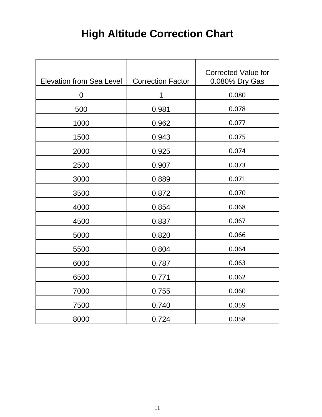# **High Altitude Correction Chart**

| <b>Elevation from Sea Level</b> | <b>Correction Factor</b> | <b>Corrected Value for</b><br>0.080% Dry Gas |
|---------------------------------|--------------------------|----------------------------------------------|
| 0                               | 1                        | 0.080                                        |
| 500                             | 0.981                    | 0.078                                        |
| 1000                            | 0.962                    | 0.077                                        |
| 1500                            | 0.943                    | 0.075                                        |
| 2000                            | 0.925                    | 0.074                                        |
| 2500                            | 0.907                    | 0.073                                        |
| 3000                            | 0.889                    | 0.071                                        |
| 3500                            | 0.872                    | 0.070                                        |
| 4000                            | 0.854                    | 0.068                                        |
| 4500                            | 0.837                    | 0.067                                        |
| 5000                            | 0.820                    | 0.066                                        |
| 5500                            | 0.804                    | 0.064                                        |
| 6000                            | 0.787                    | 0.063                                        |
| 6500                            | 0.771                    | 0.062                                        |
| 7000                            | 0.755                    | 0.060                                        |
| 7500                            | 0.740                    | 0.059                                        |
| 8000                            | 0.724                    | 0.058                                        |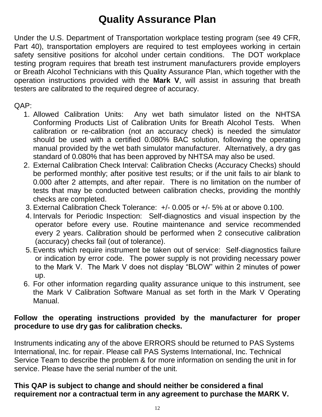# **Quality Assurance Plan**

Under the U.S. Department of Transportation workplace testing program (see 49 CFR, Part 40), transportation employers are required to test employees working in certain safety sensitive positions for alcohol under certain conditions. The DOT workplace testing program requires that breath test instrument manufacturers provide employers or Breath Alcohol Technicians with this Quality Assurance Plan, which together with the operation instructions provided with the **Mark V**, will assist in assuring that breath testers are calibrated to the required degree of accuracy.

#### $OAP$

- 1. Allowed Calibration Units: Any wet bath simulator listed on the NHTSA Conforming Products List of Calibration Units for Breath Alcohol Tests. When calibration or re-calibration (not an accuracy check) is needed the simulator should be used with a certified 0.080% BAC solution, following the operating manual provided by the wet bath simulator manufacturer. Alternatively, a dry gas standard of 0.080% that has been approved by NHTSA may also be used.
- 2. External Calibration Check Interval: Calibration Checks (Accuracy Checks) should be performed monthly; after positive test results; or if the unit fails to air blank to 0.000 after 2 attempts, and after repair. There is no limitation on the number of tests that may be conducted between calibration checks, providing the monthly checks are completed.
- 3. External Calibration Check Tolerance: +/- 0.005 or +/- 5% at or above 0.100.
- 4. Intervals for Periodic Inspection: Self-diagnostics and visual inspection by the operator before every use. Routine maintenance and service recommended every 2 years. Calibration should be performed when 2 consecutive calibration (accuracy) checks fail (out of tolerance).
- 5. Events which require instrument be taken out of service: Self-diagnostics failure or indication by error code. The power supply is not providing necessary power to the Mark V. The Mark V does not display "BLOW" within 2 minutes of power up.
- 6. For other information regarding quality assurance unique to this instrument, see the Mark V Calibration Software Manual as set forth in the Mark V Operating Manual.

#### **Follow the operating instructions provided by the manufacturer for proper procedure to use dry gas for calibration checks.**

Instruments indicating any of the above ERRORS should be returned to PAS Systems International, Inc. for repair. Please call PAS Systems International, Inc. Technical Service Team to describe the problem & for more information on sending the unit in for service. Please have the serial number of the unit.

#### **This QAP is subject to change and should neither be considered a final requirement nor a contractual term in any agreement to purchase the MARK V.**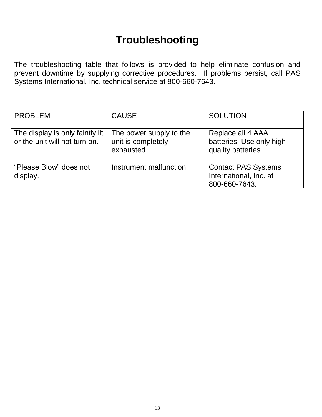## **Troubleshooting**

The troubleshooting table that follows is provided to help eliminate confusion and prevent downtime by supplying corrective procedures. If problems persist, call PAS Systems International, Inc. technical service at 800-660-7643.

| <b>PROBLEM</b>                                                   | <b>CAUSE</b>                                                | <b>SOLUTION</b>                                                       |
|------------------------------------------------------------------|-------------------------------------------------------------|-----------------------------------------------------------------------|
| The display is only faintly lit<br>or the unit will not turn on. | The power supply to the<br>unit is completely<br>exhausted. | Replace all 4 AAA<br>batteries. Use only high<br>quality batteries.   |
| "Please Blow" does not<br>display.                               | Instrument malfunction.                                     | <b>Contact PAS Systems</b><br>International, Inc. at<br>800-660-7643. |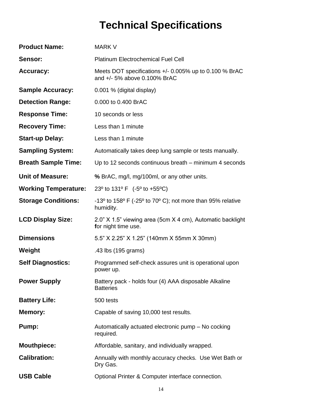# **Technical Specifications**

| <b>Product Name:</b>        | <b>MARK V</b>                                                                                                   |
|-----------------------------|-----------------------------------------------------------------------------------------------------------------|
| Sensor:                     | <b>Platinum Electrochemical Fuel Cell</b>                                                                       |
| <b>Accuracy:</b>            | Meets DOT specifications $+/- 0.005\%$ up to 0.100 % BrAC<br>and +/- 5% above 0.100% BrAC                       |
| <b>Sample Accuracy:</b>     | 0.001 % (digital display)                                                                                       |
| <b>Detection Range:</b>     | 0.000 to 0.400 BrAC                                                                                             |
| <b>Response Time:</b>       | 10 seconds or less                                                                                              |
| <b>Recovery Time:</b>       | Less than 1 minute                                                                                              |
| <b>Start-up Delay:</b>      | Less than 1 minute                                                                                              |
| <b>Sampling System:</b>     | Automatically takes deep lung sample or tests manually.                                                         |
| <b>Breath Sample Time:</b>  | Up to 12 seconds continuous breath – minimum 4 seconds                                                          |
| <b>Unit of Measure:</b>     | % BrAC, mg/l, mg/100ml, or any other units.                                                                     |
| <b>Working Temperature:</b> | 23 <sup>o</sup> to 131 <sup>o</sup> F (-5 <sup>o</sup> to +55 <sup>o</sup> C)                                   |
| <b>Storage Conditions:</b>  | -13 $^{\circ}$ to 158 $^{\circ}$ F (-25 $^{\circ}$ to 70 $^{\circ}$ C); not more than 95% relative<br>humidity. |
| <b>LCD Display Size:</b>    | 2.0" X 1.5" viewing area (5cm X 4 cm), Automatic backlight<br>for night time use.                               |
| <b>Dimensions</b>           | 5.5" X 2.25" X 1.25" (140mm X 55mm X 30mm)                                                                      |
| Weight                      | .43 lbs (195 grams)                                                                                             |
| <b>Self Diagnostics:</b>    | Programmed self-check assures unit is operational upon<br>power up.                                             |
| <b>Power Supply</b>         | Battery pack - holds four (4) AAA disposable Alkaline<br><b>Batteries</b>                                       |
|                             |                                                                                                                 |
| <b>Battery Life:</b>        | 500 tests                                                                                                       |
| <b>Memory:</b>              | Capable of saving 10,000 test results.                                                                          |
| Pump:                       | Automatically actuated electronic pump - No cocking<br>required.                                                |
| <b>Mouthpiece:</b>          | Affordable, sanitary, and individually wrapped.                                                                 |
| <b>Calibration:</b>         | Annually with monthly accuracy checks. Use Wet Bath or<br>Dry Gas.                                              |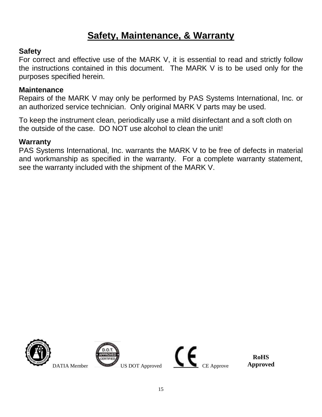## **Safety, Maintenance, & Warranty**

#### **Safety**

For correct and effective use of the MARK V, it is essential to read and strictly follow the instructions contained in this document. The MARK V is to be used only for the purposes specified herein.

#### **Maintenance**

Repairs of the MARK V may only be performed by PAS Systems International, Inc. or an authorized service technician. Only original MARK V parts may be used.

To keep the instrument clean, periodically use a mild disinfectant and a soft cloth on the outside of the case. DO NOT use alcohol to clean the unit!

#### **Warranty**

PAS Systems International, Inc. warrants the MARK V to be free of defects in material and workmanship as specified in the warranty. For a complete warranty statement, see the warranty included with the shipment of the MARK V.





**RoHS Approved**